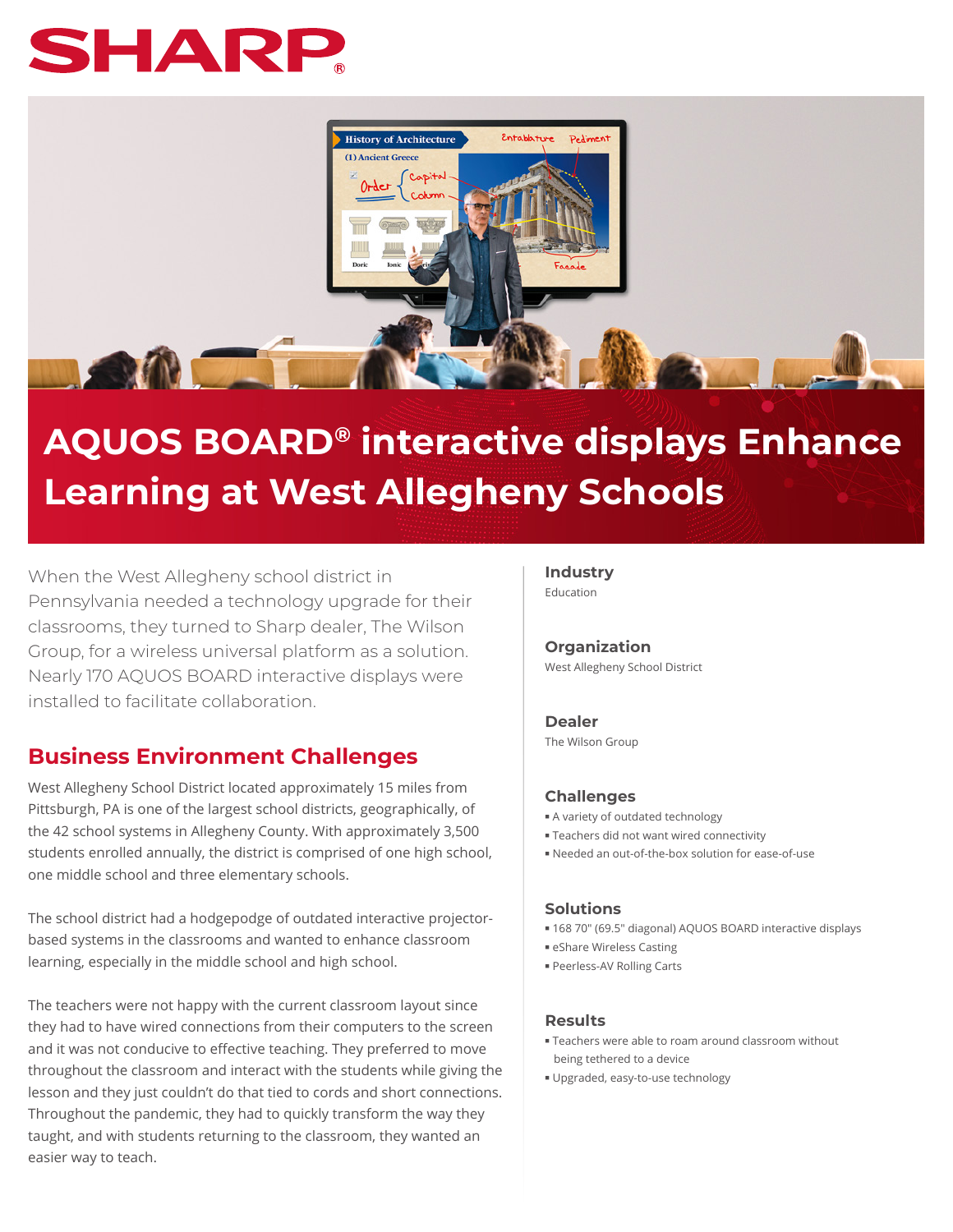# SHAR



# **AQUOS BOARD® interactive displays Enhance Learning at West Allegheny Schools**

When the West Allegheny school district in Pennsylvania needed a technology upgrade for their classrooms, they turned to Sharp dealer, The Wilson Group, for a wireless universal platform as a solution. Nearly 170 AQUOS BOARD interactive displays were installed to facilitate collaboration.

# **Business Environment Challenges**

West Allegheny School District located approximately 15 miles from Pittsburgh, PA is one of the largest school districts, geographically, of the 42 school systems in Allegheny County. With approximately 3,500 students enrolled annually, the district is comprised of one high school, one middle school and three elementary schools.

The school district had a hodgepodge of outdated interactive projectorbased systems in the classrooms and wanted to enhance classroom learning, especially in the middle school and high school.

The teachers were not happy with the current classroom layout since they had to have wired connections from their computers to the screen and it was not conducive to effective teaching. They preferred to move throughout the classroom and interact with the students while giving the lesson and they just couldn't do that tied to cords and short connections. Throughout the pandemic, they had to quickly transform the way they taught, and with students returning to the classroom, they wanted an easier way to teach.

### **Industry**

Education

**Organization** West Allegheny School District

#### **Dealer**

The Wilson Group

#### **Challenges**

- A variety of outdated technology
- Teachers did not want wired connectivity
- Needed an out-of-the-box solution for ease-of-use

#### **Solutions**

- 168 70" (69.5" diagonal) AQUOS BOARD interactive displays
- eShare Wireless Casting
- Peerless-AV Rolling Carts

#### **Results**

- Teachers were able to roam around classroom without being tethered to a device
- Upgraded, easy-to-use technology